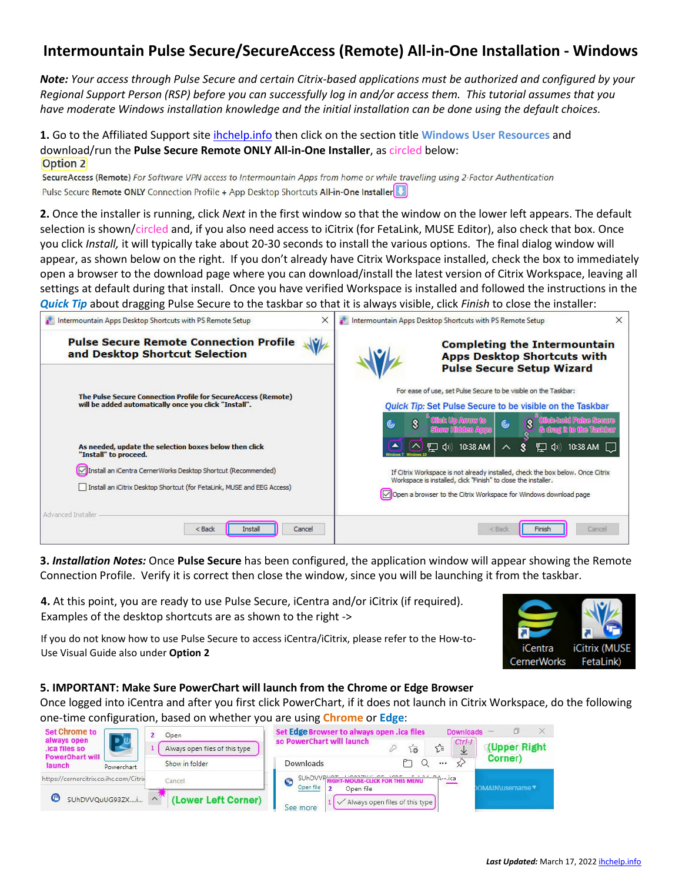## **Intermountain Pulse Secure/SecureAccess (Remote) All-in-One Installation - Windows**

*Note: Your access through Pulse Secure and certain Citrix-based applications must be authorized and configured by your Regional Support Person (RSP) before you can successfully log in and/or access them. This tutorial assumes that you have moderate Windows installation knowledge and the initial installation can be done using the default choices.*

**1.** Go to the Affiliated Support sit[e ihchelp.info](https://intermountainhealthcare.org/other-audiences/affiliated-support) then click on the section title **Windows User Resources** and download/run the **Pulse Secure Remote ONLY All-in-One Installer**, as circled below: Option 2

SecureAccess (Remote) For Software VPN access to Intermountain Apps from home or while travelling using 2-Factor Authentication Pulse Secure Remote ONLY Connection Profile + App Desktop Shortcuts All-in-One Installer

**2.** Once the installer is running, click *Next* in the first window so that the window on the lower left appears. The default selection is shown/circled and, if you also need access to iCitrix (for FetaLink, MUSE Editor), also check that box. Once you click *Install,* it will typically take about 20-30 seconds to install the various options. The final dialog window will appear, as shown below on the right. If you don't already have Citrix Workspace installed, check the box to immediately open a browser to the download page where you can download/install the latest version of Citrix Workspace, leaving all settings at default during that install. Once you have verified Workspace is installed and followed the instructions in the *Quick Tip* about dragging Pulse Secure to the taskbar so that it is always visible, click *Finish* to close the installer:

| X<br>Intermountain Apps Desktop Shortcuts with PS Remote Setup                                                                                                                                                              | ×<br>Intermountain Apps Desktop Shortcuts with PS Remote Setup                                                                                                                                                                                     |
|-----------------------------------------------------------------------------------------------------------------------------------------------------------------------------------------------------------------------------|----------------------------------------------------------------------------------------------------------------------------------------------------------------------------------------------------------------------------------------------------|
| <b>Pulse Secure Remote Connection Profile</b><br>and Desktop Shortcut Selection                                                                                                                                             | <b>Completing the Intermountain</b><br><b>Apps Desktop Shortcuts with</b><br><b>Pulse Secure Setup Wizard</b>                                                                                                                                      |
| The Pulse Secure Connection Profile for SecureAccess (Remote)<br>will be added automatically once you click "Install".                                                                                                      | For ease of use, set Pulse Secure to be visible on the Taskbar:<br><b>Quick Tip: Set Pulse Secure to be visible on the Taskbar</b><br>$\mathbb{G}$<br>(၆)                                                                                          |
| As needed, update the selection boxes below then click<br>"Install" to proceed.<br>Install an iCentra CernerWorks Desktop Shortcut (Recommended)<br>Install an iCitrix Desktop Shortcut (for FetaLink, MUSE and EEG Access) | 10:38 AM<br>口の<br>10:38 AM<br>If Citrix Workspace is not already installed, check the box below. Once Citrix<br>Workspace is installed, click "Finish" to close the installer.<br>Open a browser to the Citrix Workspace for Windows download page |
| Advanced Installer<br>$<$ Back<br>Cancel<br>Instal                                                                                                                                                                          | $<$ Back<br>Cancel<br>Finish                                                                                                                                                                                                                       |

**3.** *Installation Notes:* Once **Pulse Secure** has been configured, the application window will appear showing the Remote Connection Profile. Verify it is correct then close the window, since you will be launching it from the taskbar.

**4.** At this point, you are ready to use Pulse Secure, iCentra and/or iCitrix (if required). Examples of the desktop shortcuts are as shown to the right ->

iCitrix (MUSE *iCentra* **CernerWorks** FetaLink)

If you do not know how to use Pulse Secure to access iCentra/iCitrix, please refer to the How-to-Use Visual Guide also under **Option 2**

## **5. IMPORTANT: Make Sure PowerChart will launch from the Chrome or Edge Browser**

Once logged into iCentra and after you first click PowerChart, if it does not launch in Citrix Workspace, do the following one-time configuration, based on whether you are using **Chrome** or **Edge**:

| <b>Set Chrome to</b>                                  | Open                           | Set Edge Browser to always open .ica files                                   | <b>Downloads</b>     |              | X              |
|-------------------------------------------------------|--------------------------------|------------------------------------------------------------------------------|----------------------|--------------|----------------|
| always open<br>.ica files so                          | Always open files of this type | so PowerChart will launch                                                    | √≒                   | $Ctrl-J$     | (Upper Right   |
| <b>PowerChart will</b><br><b>launch</b><br>Powerchart | Show in folder                 | Downloads                                                                    |                      | ------------ | Corner)        |
| https://cernercitrix.co.ihc.com/Citrix                | Cancel                         | SUhDVV<br><b>OUSE-CLICK FOR THIS MENU</b><br>Open file                       | <sup>≏</sup> A--.ica |              | OMAIN\username |
| SUhDVVQuUG93ZXi                                       | (Lower Left Corner)            | Open file<br>$\sqrt{\phantom{a}}$ Always open files of this type<br>See more |                      |              |                |